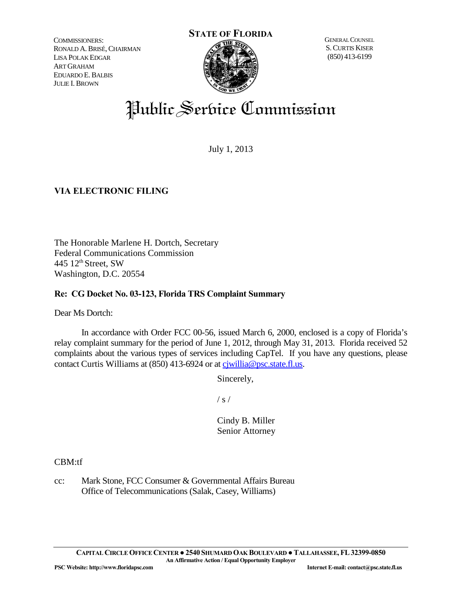COMMISSIONERS: RONALD A.BRISÉ,CHAIRMAN LISA POLAK EDGAR ART GRAHAM EDUARDO E.BALBIS JULIE I.BROWN



GENERAL COUNSEL S.CURTIS KISER (850) 413-6199

# Public Service Commission

July 1, 2013

# **VIA ELECTRONIC FILING**

The Honorable Marlene H. Dortch, Secretary Federal Communications Commission 445  $12<sup>th</sup>$  Street, SW Washington, D.C. 20554

### **Re: CG Docket No. 03-123, Florida TRS Complaint Summary**

Dear Ms Dortch:

In accordance with Order FCC 00-56, issued March 6, 2000, enclosed is a copy of Florida's relay complaint summary for the period of June 1, 2012, through May 31, 2013. Florida received 52 complaints about the various types of services including CapTel. If you have any questions, please contact Curtis Williams at (850) 413-6924 or at cjwillia@psc.state.fl.us.

Sincerely,

 $/ s /$ 

Cindy B. Miller Senior Attorney

CBM:tf

cc: Mark Stone, FCC Consumer & Governmental Affairs Bureau Office of Telecommunications (Salak, Casey, Williams)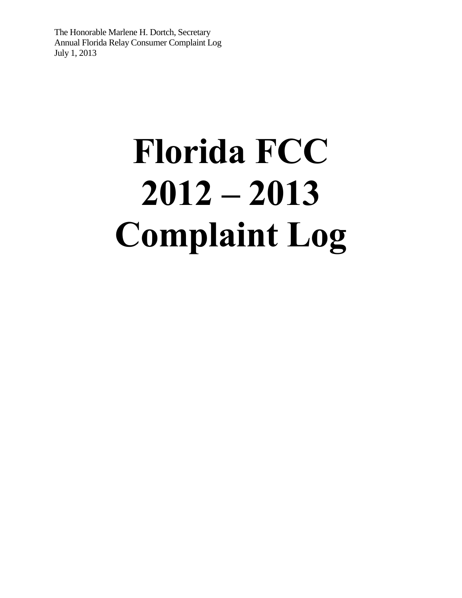# **Florida FCC 2012 – 2013 Complaint Log**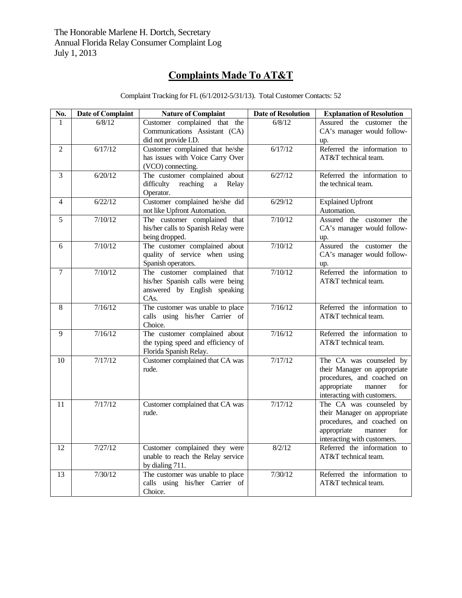# **Complaints Made To AT&T**

| No.            | <b>Date of Complaint</b> | <b>Nature of Complaint</b>                                         | <b>Date of Resolution</b> | <b>Explanation of Resolution</b>                    |
|----------------|--------------------------|--------------------------------------------------------------------|---------------------------|-----------------------------------------------------|
| $\mathbf{1}$   | 6/8/12                   | Customer complained that the                                       | 6/8/12                    | Assured the customer the                            |
|                |                          | Communications Assistant (CA)                                      |                           | CA's manager would follow-                          |
|                |                          | did not provide I.D.                                               |                           | up.                                                 |
| $\mathfrak{D}$ | 6/17/12                  | Customer complained that he/she                                    | 6/17/12                   | Referred the information to                         |
|                |                          | has issues with Voice Carry Over                                   |                           | AT&T technical team.                                |
|                |                          | (VCO) connecting.                                                  |                           |                                                     |
| $\overline{3}$ | 6/20/12                  | The customer complained about                                      | 6/27/12                   | Referred the information to                         |
|                |                          | difficulty<br>reaching<br>Relay<br>a                               |                           | the technical team.                                 |
|                |                          | Operator.                                                          |                           |                                                     |
| $\overline{4}$ | 6/22/12                  | Customer complained he/she did                                     | 6/29/12                   | <b>Explained Upfront</b>                            |
|                |                          | not like Upfront Automation.                                       |                           | Automation.                                         |
| 5              | 7/10/12                  | The customer complained that                                       | 7/10/12                   | Assured the customer the                            |
|                |                          | his/her calls to Spanish Relay were                                |                           | CA's manager would follow-                          |
|                |                          | being dropped.                                                     |                           | up.                                                 |
| 6              | 7/10/12                  | The customer complained about                                      | 7/10/12                   | Assured the customer the                            |
|                |                          | quality of service when using                                      |                           | CA's manager would follow-                          |
|                |                          | Spanish operators.                                                 |                           | up.                                                 |
| $\overline{7}$ | 7/10/12                  | The customer complained that                                       | 7/10/12                   | Referred the information to                         |
|                |                          | his/her Spanish calls were being                                   |                           | AT&T technical team.                                |
|                |                          | answered by English speaking                                       |                           |                                                     |
|                | 7/16/12                  | CAs.                                                               | 7/16/12                   |                                                     |
| 8              |                          | The customer was unable to place<br>calls using his/her Carrier of |                           | Referred the information to<br>AT&T technical team. |
|                |                          | Choice.                                                            |                           |                                                     |
| 9              | 7/16/12                  | The customer complained about                                      | 7/16/12                   | Referred the information to                         |
|                |                          | the typing speed and efficiency of                                 |                           | AT&T technical team.                                |
|                |                          | Florida Spanish Relay.                                             |                           |                                                     |
| 10             | 7/17/12                  | Customer complained that CA was                                    | 7/17/12                   | The CA was counseled by                             |
|                |                          | rude.                                                              |                           | their Manager on appropriate                        |
|                |                          |                                                                    |                           | procedures, and coached on                          |
|                |                          |                                                                    |                           | appropriate<br>manner<br>for                        |
|                |                          |                                                                    |                           | interacting with customers.                         |
| 11             | 7/17/12                  | Customer complained that CA was                                    | 7/17/12                   | The CA was counseled by                             |
|                |                          | rude.                                                              |                           | their Manager on appropriate                        |
|                |                          |                                                                    |                           | procedures, and coached on                          |
|                |                          |                                                                    |                           | appropriate<br>manner<br>for                        |
|                |                          |                                                                    |                           | interacting with customers.                         |
| 12             | 7/27/12                  | Customer complained they were                                      | 8/2/12                    | Referred the information to                         |
|                |                          | unable to reach the Relay service                                  |                           | AT&T technical team.                                |
|                |                          | by dialing 711.                                                    |                           |                                                     |
| 13             | 7/30/12                  | The customer was unable to place                                   | 7/30/12                   | Referred the information to                         |
|                |                          | calls using his/her Carrier of                                     |                           | AT&T technical team.                                |
|                |                          | Choice.                                                            |                           |                                                     |

Complaint Tracking for FL (6/1/2012-5/31/13). Total Customer Contacts: 52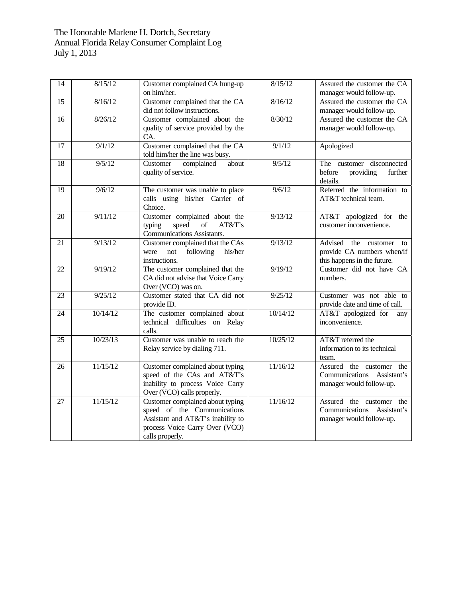| 14 | 8/15/12  | Customer complained CA hung-up<br>on him/her.                                                                                                                                                         | 8/15/12  | Assured the customer the CA<br>manager would follow-up.                                    |
|----|----------|-------------------------------------------------------------------------------------------------------------------------------------------------------------------------------------------------------|----------|--------------------------------------------------------------------------------------------|
| 15 | 8/16/12  | Customer complained that the CA<br>did not follow instructions.                                                                                                                                       | 8/16/12  | Assured the customer the CA<br>manager would follow-up.                                    |
| 16 | 8/26/12  | Customer complained about the<br>quality of service provided by the<br>CA.                                                                                                                            | 8/30/12  | Assured the customer the CA<br>manager would follow-up.                                    |
| 17 | 9/1/12   | Customer complained that the CA<br>told him/her the line was busy.                                                                                                                                    | 9/1/12   | Apologized                                                                                 |
| 18 | 9/5/12   | complained<br>about<br>Customer<br>quality of service.                                                                                                                                                | 9/5/12   | The customer disconnected<br>providing<br>before<br>further<br>details.                    |
| 19 | 9/6/12   | The customer was unable to place<br>calls using his/her Carrier of<br>Choice.                                                                                                                         | 9/6/12   | Referred the information to<br>AT&T technical team.                                        |
| 20 | 9/11/12  | Customer complained about the<br>speed<br>$% \left( \left( \mathcal{A},\mathcal{A}\right) \right) =\left( \mathcal{A},\mathcal{A}\right)$ of<br>AT&T's<br>typing<br><b>Communications Assistants.</b> | 9/13/12  | AT&T apologized for<br>the<br>customer inconvenience.                                      |
| 21 | 9/13/12  | Customer complained that the CAs<br>not<br>following<br>his/her<br>were<br>instructions.                                                                                                              | 9/13/12  | Advised<br>the customer<br>to<br>provide CA numbers when/if<br>this happens in the future. |
| 22 | 9/19/12  | The customer complained that the<br>CA did not advise that Voice Carry<br>Over (VCO) was on.                                                                                                          | 9/19/12  | Customer did not have CA<br>numbers.                                                       |
| 23 | 9/25/12  | Customer stated that CA did not<br>provide ID.                                                                                                                                                        | 9/25/12  | Customer was not able to<br>provide date and time of call.                                 |
| 24 | 10/14/12 | The customer complained about<br>technical difficulties on Relay<br>calls.                                                                                                                            | 10/14/12 | AT&T apologized for<br>any<br>inconvenience.                                               |
| 25 | 10/23/13 | Customer was unable to reach the<br>Relay service by dialing 711.                                                                                                                                     | 10/25/12 | AT&T referred the<br>information to its technical<br>team.                                 |
| 26 | 11/15/12 | Customer complained about typing<br>speed of the CAs and AT&T's<br>inability to process Voice Carry<br>Over (VCO) calls properly.                                                                     | 11/16/12 | Assured the customer<br>the<br>Communications Assistant's<br>manager would follow-up.      |
| 27 | 11/15/12 | Customer complained about typing<br>speed of the Communications<br>Assistant and AT&T's inability to<br>process Voice Carry Over (VCO)<br>calls properly.                                             | 11/16/12 | Assured the customer the<br>Communications Assistant's<br>manager would follow-up.         |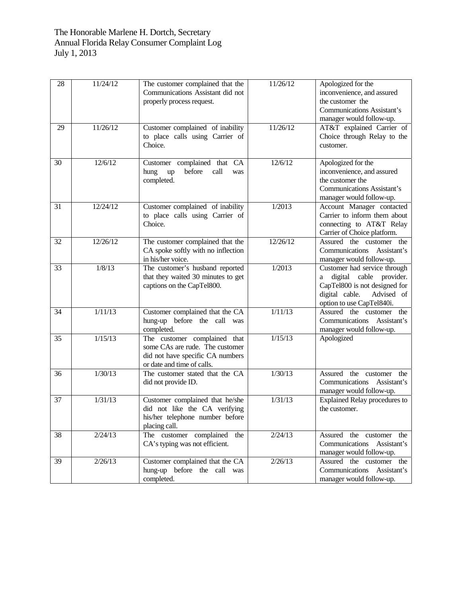| 28 | 11/24/12 | The customer complained that the<br>Communications Assistant did not<br>properly process request.                                 | 11/26/12 | Apologized for the<br>inconvenience, and assured<br>the customer the<br><b>Communications Assistant's</b>                                                  |
|----|----------|-----------------------------------------------------------------------------------------------------------------------------------|----------|------------------------------------------------------------------------------------------------------------------------------------------------------------|
| 29 | 11/26/12 | Customer complained of inability<br>to place calls using Carrier of<br>Choice.                                                    | 11/26/12 | manager would follow-up.<br>AT&T explained Carrier of<br>Choice through Relay to the<br>customer.                                                          |
| 30 | 12/6/12  | Customer complained that CA<br>before<br>hung<br>call<br>up<br>was<br>completed.                                                  | 12/6/12  | Apologized for the<br>inconvenience, and assured<br>the customer the<br><b>Communications Assistant's</b><br>manager would follow-up.                      |
| 31 | 12/24/12 | Customer complained of inability<br>to place calls using Carrier of<br>Choice.                                                    | 1/2013   | Account Manager contacted<br>Carrier to inform them about<br>connecting to AT&T Relay<br>Carrier of Choice platform.                                       |
| 32 | 12/26/12 | The customer complained that the<br>CA spoke softly with no inflection<br>in his/her voice.                                       | 12/26/12 | Assured the customer the<br>Communications Assistant's<br>manager would follow-up.                                                                         |
| 33 | 1/8/13   | The customer's husband reported<br>that they waited 30 minutes to get<br>captions on the CapTel800.                               | 1/2013   | Customer had service through<br>digital cable provider.<br>a<br>CapTel800 is not designed for<br>digital cable.<br>Advised of<br>option to use CapTel840i. |
| 34 | 1/11/13  | Customer complained that the CA<br>hung-up before the call was<br>completed.                                                      | 1/11/13  | Assured the customer the<br>Communications Assistant's<br>manager would follow-up.                                                                         |
| 35 | 1/15/13  | The customer complained that<br>some CAs are rude. The customer<br>did not have specific CA numbers<br>or date and time of calls. | 1/15/13  | Apologized                                                                                                                                                 |
| 36 | 1/30/13  | The customer stated that the CA<br>did not provide ID.                                                                            | 1/30/13  | Assured the customer<br>the<br>Communications<br>Assistant's<br>manager would follow-up.                                                                   |
| 37 | 1/31/13  | Customer complained that he/she<br>did not like the CA verifying<br>his/her telephone number before<br>placing call.              | 1/31/13  | <b>Explained Relay procedures to</b><br>the customer.                                                                                                      |
| 38 | 2/24/13  | The customer complained the<br>CA's typing was not efficient.                                                                     | 2/24/13  | Assured the customer the<br>Communications Assistant's<br>manager would follow-up.                                                                         |
| 39 | 2/26/13  | Customer complained that the CA<br>hung-up before the call was<br>completed.                                                      | 2/26/13  | Assured the customer the<br>Communications Assistant's<br>manager would follow-up.                                                                         |